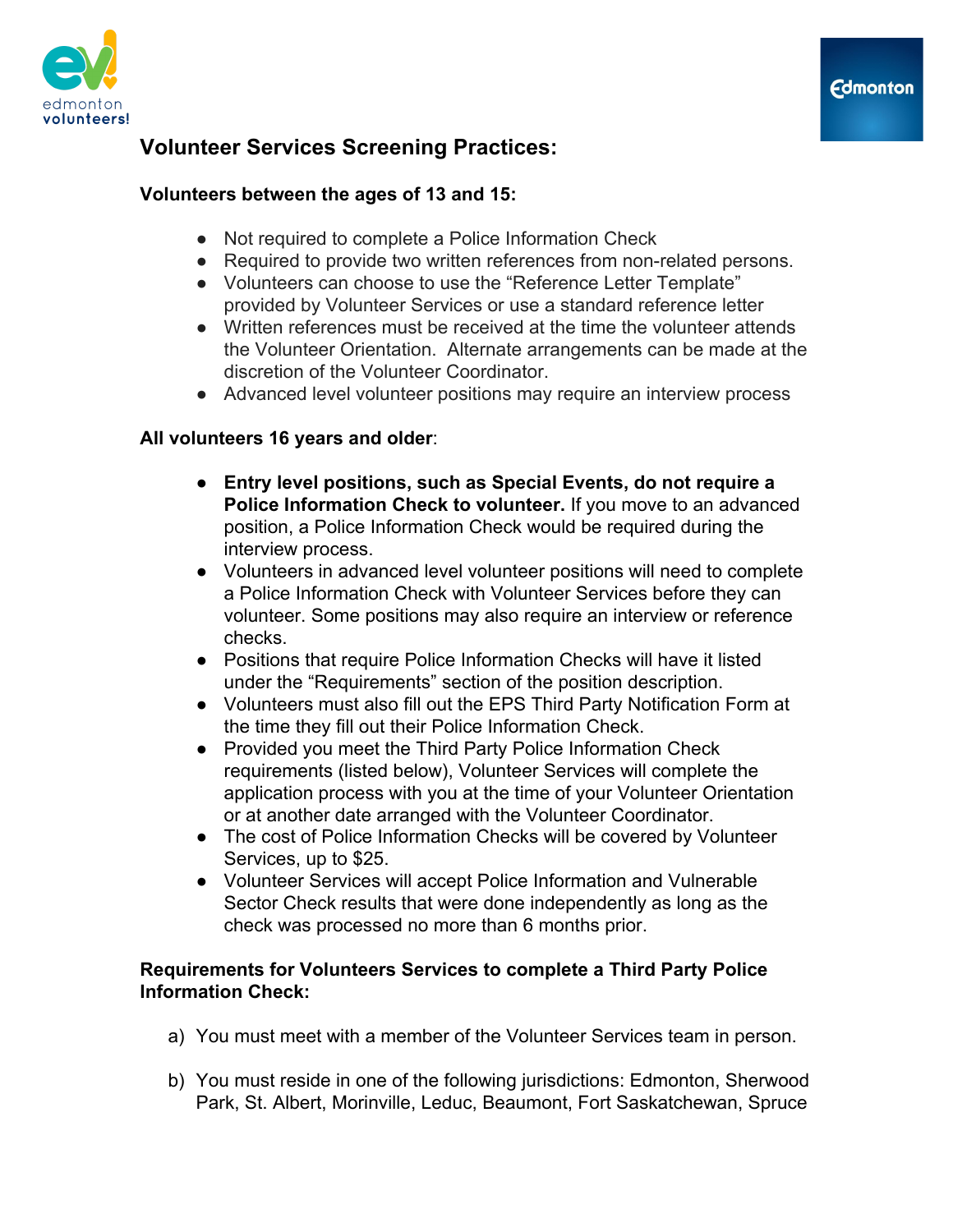

# **Volunteers between the ages of 13 and 15:**

- Not required to complete a Police Information Check
- Required to provide two written references from non-related persons.
- Volunteers can choose to use the "Reference Letter Template" provided by Volunteer Services or use a standard reference letter
- Written references must be received at the time the volunteer attends the Volunteer Orientation. Alternate arrangements can be made at the discretion of the Volunteer Coordinator.
- Advanced level volunteer positions may require an interview process

# **All volunteers 16 years and older**:

- **Entry level positions, such as Special Events, do not require a Police Information Check to volunteer.** If you move to an advanced position, a Police Information Check would be required during the interview process.
- Volunteers in advanced level volunteer positions will need to complete a Police Information Check with Volunteer Services before they can volunteer. Some positions may also require an interview or reference checks.
- Positions that require Police Information Checks will have it listed under the "Requirements" section of the position description.
- Volunteers must also fill out the EPS Third Party Notification Form at the time they fill out their Police Information Check.
- Provided you meet the Third Party Police Information Check requirements (listed below), Volunteer Services will complete the application process with you at the time of your Volunteer Orientation or at another date arranged with the Volunteer Coordinator.
- The cost of Police Information Checks will be covered by Volunteer Services, up to \$25.
- Volunteer Services will accept Police Information and Vulnerable Sector Check results that were done independently as long as the check was processed no more than 6 months prior.

## **Requirements for Volunteers Services to complete a Third Party Police Information Check:**

- a) You must meet with a member of the Volunteer Services team in person.
- b) You must reside in one of the following jurisdictions: Edmonton, Sherwood Park, St. Albert, Morinville, Leduc, Beaumont, Fort Saskatchewan, Spruce

**Edmonton**